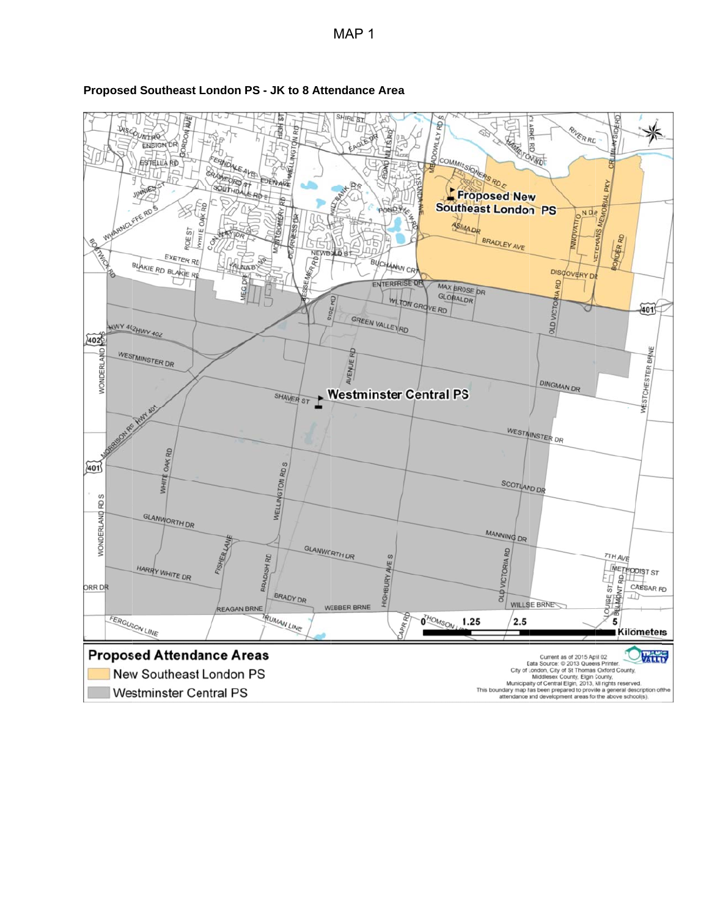

## **Proposed Southeast London PS - JK to 8 Attendance Area**